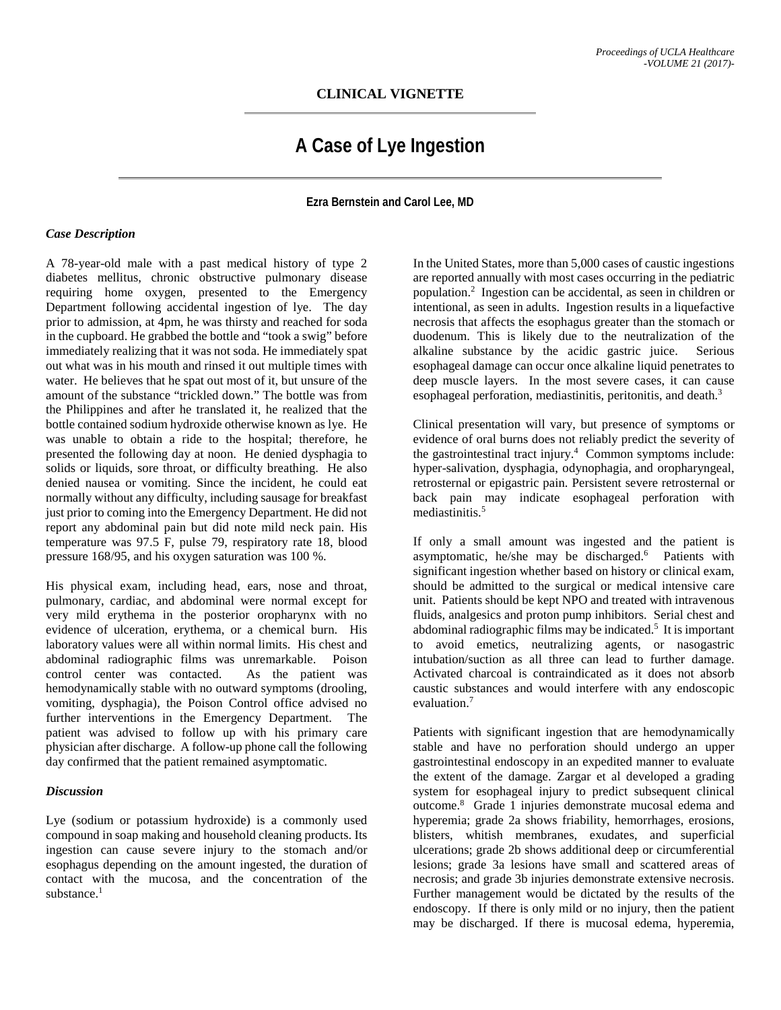## **CLINICAL VIGNETTE**

# **A Case of Lye Ingestion**

**Ezra Bernstein and Carol Lee, MD**

#### *Case Description*

A 78-year-old male with a past medical history of type 2 diabetes mellitus, chronic obstructive pulmonary disease requiring home oxygen, presented to the Emergency Department following accidental ingestion of lye. The day prior to admission, at 4pm, he was thirsty and reached for soda in the cupboard. He grabbed the bottle and "took a swig" before immediately realizing that it was not soda. He immediately spat out what was in his mouth and rinsed it out multiple times with water. He believes that he spat out most of it, but unsure of the amount of the substance "trickled down." The bottle was from the Philippines and after he translated it, he realized that the bottle contained sodium hydroxide otherwise known as lye. He was unable to obtain a ride to the hospital; therefore, he presented the following day at noon. He denied dysphagia to solids or liquids, sore throat, or difficulty breathing. He also denied nausea or vomiting. Since the incident, he could eat normally without any difficulty, including sausage for breakfast just prior to coming into the Emergency Department. He did not report any abdominal pain but did note mild neck pain. His temperature was 97.5 F, pulse 79, respiratory rate 18, blood pressure 168/95, and his oxygen saturation was 100 %.

His physical exam, including head, ears, nose and throat, pulmonary, cardiac, and abdominal were normal except for very mild erythema in the posterior oropharynx with no evidence of ulceration, erythema, or a chemical burn. His laboratory values were all within normal limits. His chest and abdominal radiographic films was unremarkable. Poison control center was contacted. As the patient was hemodynamically stable with no outward symptoms (drooling, vomiting, dysphagia), the Poison Control office advised no further interventions in the Emergency Department. The patient was advised to follow up with his primary care physician after discharge. A follow-up phone call the following day confirmed that the patient remained asymptomatic.

### *Discussion*

Lye (sodium or potassium hydroxide) is a commonly used compound in soap making and household cleaning products. Its ingestion can cause severe injury to the stomach and/or esophagus depending on the amount ingested, the duration of contact with the mucosa, and the concentration of the substance. $<sup>1</sup>$ </sup>

In the United States, more than 5,000 cases of caustic ingestions are reported annually with most cases occurring in the pediatric population.2 Ingestion can be accidental, as seen in children or intentional, as seen in adults. Ingestion results in a liquefactive necrosis that affects the esophagus greater than the stomach or duodenum. This is likely due to the neutralization of the alkaline substance by the acidic gastric juice. Serious esophageal damage can occur once alkaline liquid penetrates to deep muscle layers. In the most severe cases, it can cause esophageal perforation, mediastinitis, peritonitis, and death.<sup>3</sup>

Clinical presentation will vary, but presence of symptoms or evidence of oral burns does not reliably predict the severity of the gastrointestinal tract injury. 4 Common symptoms include: hyper-salivation, dysphagia, odynophagia, and oropharyngeal, retrosternal or epigastric pain. Persistent severe retrosternal or back pain may indicate esophageal perforation with mediastinitis.5

If only a small amount was ingested and the patient is asymptomatic, he/she may be discharged.<sup>6</sup> Patients with significant ingestion whether based on history or clinical exam, should be admitted to the surgical or medical intensive care unit. Patients should be kept NPO and treated with intravenous fluids, analgesics and proton pump inhibitors. Serial chest and abdominal radiographic films may be indicated. <sup>5</sup> It is important to avoid emetics, neutralizing agents, or nasogastric intubation/suction as all three can lead to further damage. Activated charcoal is contraindicated as it does not absorb caustic substances and would interfere with any endoscopic evaluation.7

Patients with significant ingestion that are hemodynamically stable and have no perforation should undergo an upper gastrointestinal endoscopy in an expedited manner to evaluate the extent of the damage. Zargar et al developed a grading system for esophageal injury to predict subsequent clinical outcome. 8 Grade 1 injuries demonstrate mucosal edema and hyperemia; grade 2a shows friability, hemorrhages, erosions, blisters, whitish membranes, exudates, and superficial ulcerations; grade 2b shows additional deep or circumferential lesions; grade 3a lesions have small and scattered areas of necrosis; and grade 3b injuries demonstrate extensive necrosis. Further management would be dictated by the results of the endoscopy. If there is only mild or no injury, then the patient may be discharged. If there is mucosal edema, hyperemia,